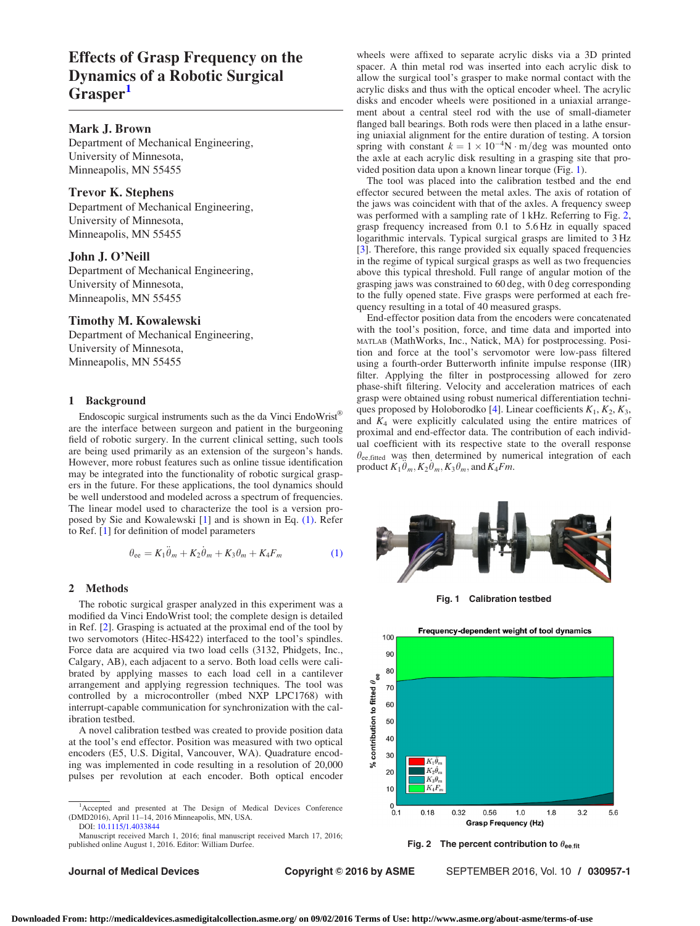# <span id="page-0-0"></span>Effects of Grasp Frequency on the Dynamics of a Robotic Surgical Grasper<sup>1</sup>

# Mark J. Brown

Department of Mechanical Engineering, University of Minnesota, Minneapolis, MN 55455

# Trevor K. Stephens

Department of Mechanical Engineering, University of Minnesota, Minneapolis, MN 55455

# John J. O'Neill

Department of Mechanical Engineering, University of Minnesota, Minneapolis, MN 55455

# Timothy M. Kowalewski

Department of Mechanical Engineering, University of Minnesota, Minneapolis, MN 55455

# 1 Background

Endoscopic surgical instruments such as the da Vinci EndoWrist<sup>®</sup> are the interface between surgeon and patient in the burgeoning field of robotic surgery. In the current clinical setting, such tools are being used primarily as an extension of the surgeon's hands. However, more robust features such as online tissue identification may be integrated into the functionality of robotic surgical graspers in the future. For these applications, the tool dynamics should be well understood and modeled across a spectrum of frequencies. The linear model used to characterize the tool is a version proposed by Sie and Kowalewski [\[1\]](#page-1-0) and is shown in Eq. (1). Refer to Ref. [[1](#page-1-0)] for definition of model parameters

$$
\theta_{ee} = K_1 \ddot{\theta}_m + K_2 \dot{\theta}_m + K_3 \theta_m + K_4 F_m \tag{1}
$$

### 2 Methods

The robotic surgical grasper analyzed in this experiment was a modified da Vinci EndoWrist tool; the complete design is detailed in Ref. [\[2\]](#page-1-0). Grasping is actuated at the proximal end of the tool by two servomotors (Hitec-HS422) interfaced to the tool's spindles. Force data are acquired via two load cells (3132, Phidgets, Inc., Calgary, AB), each adjacent to a servo. Both load cells were calibrated by applying masses to each load cell in a cantilever arrangement and applying regression techniques. The tool was controlled by a microcontroller (mbed NXP LPC1768) with interrupt-capable communication for synchronization with the calibration testbed.

A novel calibration testbed was created to provide position data at the tool's end effector. Position was measured with two optical encoders (E5, U.S. Digital, Vancouver, WA). Quadrature encoding was implemented in code resulting in a resolution of 20,000 pulses per revolution at each encoder. Both optical encoder

Manuscript received March 1, 2016; final manuscript received March 17, 2016; published online August 1, 2016. Editor: William Durfee.

wheels were affixed to separate acrylic disks via a 3D printed spacer. A thin metal rod was inserted into each acrylic disk to allow the surgical tool's grasper to make normal contact with the acrylic disks and thus with the optical encoder wheel. The acrylic disks and encoder wheels were positioned in a uniaxial arrangement about a central steel rod with the use of small-diameter flanged ball bearings. Both rods were then placed in a lathe ensuring uniaxial alignment for the entire duration of testing. A torsion spring with constant  $k = 1 \times 10^{-4}$ N  $\cdot$  m/deg was mounted onto the axle at each acrylic disk resulting in a grasping site that provided position data upon a known linear torque (Fig. 1).

The tool was placed into the calibration testbed and the end effector secured between the metal axles. The axis of rotation of the jaws was coincident with that of the axles. A frequency sweep was performed with a sampling rate of 1 kHz. Referring to Fig. 2, grasp frequency increased from 0.1 to 5.6 Hz in equally spaced logarithmic intervals. Typical surgical grasps are limited to 3 Hz [[3\]](#page-1-0). Therefore, this range provided six equally spaced frequencies in the regime of typical surgical grasps as well as two frequencies above this typical threshold. Full range of angular motion of the grasping jaws was constrained to 60 deg, with 0 deg corresponding to the fully opened state. Five grasps were performed at each frequency resulting in a total of 40 measured grasps.

End-effector position data from the encoders were concatenated with the tool's position, force, and time data and imported into MATLAB (MathWorks, Inc., Natick, MA) for postprocessing. Position and force at the tool's servomotor were low-pass filtered using a fourth-order Butterworth infinite impulse response (IIR) filter. Applying the filter in postprocessing allowed for zero phase-shift filtering. Velocity and acceleration matrices of each grasp were obtained using robust numerical differentiation techni-ques proposed by Holoborodko [[4](#page-1-0)]. Linear coefficients  $K_1, K_2, K_3$ , and  $K_4$  were explicitly calculated using the entire matrices of proximal and end-effector data. The contribution of each individual coefficient with its respective state to the overall response  $\theta_{ee, fitted}$  was then determined by numerical integration of each product  $K_1 \ddot{\theta}_m, K_2 \dot{\theta}_m, K_3 \theta_m$ , and  $K_4 Fm$ .



Fig. 1 Calibration testbed



Fig. 2 The percent contribution to  $\theta_{\text{ee,fit}}$ 

Journal of Medical Devices **Copyright © 2016 by ASME** SEPTEMBER 2016, Vol. 10 / 030957-1

<sup>&</sup>lt;sup>1</sup>Accepted and presented at The Design of Medical Devices Conference (DMD2016), April 11–14, 2016 Minneapolis, MN, USA. DOI: [10.1115/1.4033844](http://dx.doi.org/10.1115/1.4033844)